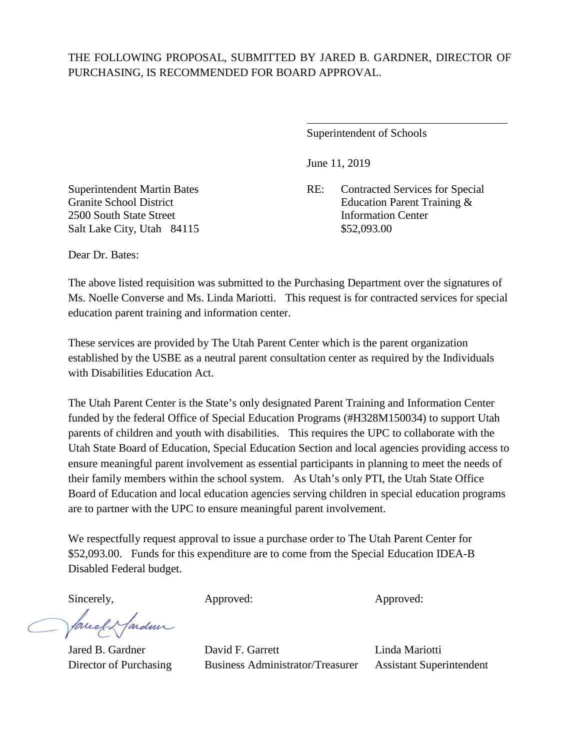## THE FOLLOWING PROPOSAL, SUBMITTED BY JARED B. GARDNER, DIRECTOR OF PURCHASING, IS RECOMMENDED FOR BOARD APPROVAL.

 $\overline{a}$ 

Superintendent of Schools

June 11, 2019

Superintendent Martin Bates RE: Contracted Services for Special Granite School District **Education Parent Training &** 

2500 South State Street **Information Center** Salt Lake City, Utah 84115 \$52,093.00

Dear Dr. Bates:

The above listed requisition was submitted to the Purchasing Department over the signatures of Ms. Noelle Converse and Ms. Linda Mariotti. This request is for contracted services for special education parent training and information center.

These services are provided by The Utah Parent Center which is the parent organization established by the USBE as a neutral parent consultation center as required by the Individuals with Disabilities Education Act.

The Utah Parent Center is the State's only designated Parent Training and Information Center funded by the federal Office of Special Education Programs (#H328M150034) to support Utah parents of children and youth with disabilities. This requires the UPC to collaborate with the Utah State Board of Education, Special Education Section and local agencies providing access to ensure meaningful parent involvement as essential participants in planning to meet the needs of their family members within the school system. As Utah's only PTI, the Utah State Office Board of Education and local education agencies serving children in special education programs are to partner with the UPC to ensure meaningful parent involvement.

We respectfully request approval to issue a purchase order to The Utah Parent Center for \$52,093.00. Funds for this expenditure are to come from the Special Education IDEA-B Disabled Federal budget.

Sincerely, Approved: Approved: Approved: Approved:

larden facel

Jared B. Gardner David F. Garrett Linda Mariotti Director of Purchasing Business Administrator/Treasurer Assistant Superintendent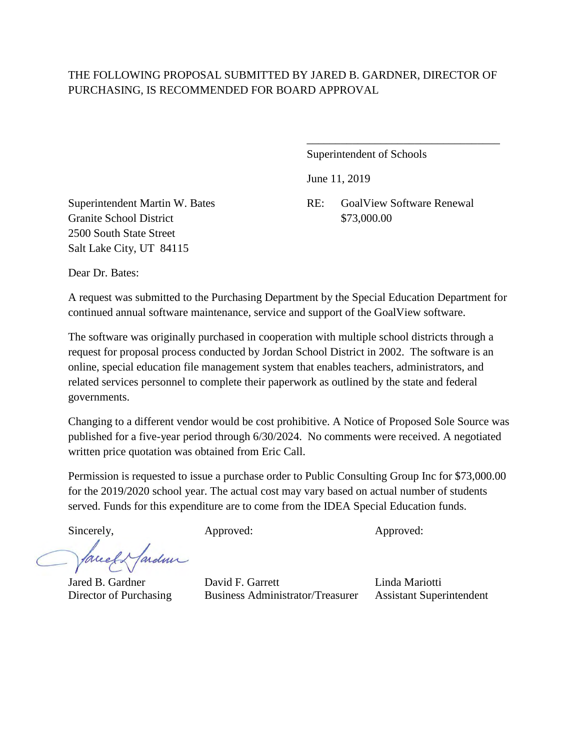## THE FOLLOWING PROPOSAL SUBMITTED BY JARED B. GARDNER, DIRECTOR OF PURCHASING, IS RECOMMENDED FOR BOARD APPROVAL

 $\overline{\phantom{a}}$  , which is a set of the set of the set of the set of the set of the set of the set of the set of the set of the set of the set of the set of the set of the set of the set of the set of the set of the set of th

Superintendent of Schools

June 11, 2019

Granite School District \$73,000.00 2500 South State Street Salt Lake City, UT 84115

Superintendent Martin W. Bates RE: GoalView Software Renewal

Dear Dr. Bates:

A request was submitted to the Purchasing Department by the Special Education Department for continued annual software maintenance, service and support of the GoalView software.

The software was originally purchased in cooperation with multiple school districts through a request for proposal process conducted by Jordan School District in 2002. The software is an online, special education file management system that enables teachers, administrators, and related services personnel to complete their paperwork as outlined by the state and federal governments.

Changing to a different vendor would be cost prohibitive. A Notice of Proposed Sole Source was published for a five-year period through 6/30/2024. No comments were received. A negotiated written price quotation was obtained from Eric Call.

Permission is requested to issue a purchase order to Public Consulting Group Inc for \$73,000.00 for the 2019/2020 school year. The actual cost may vary based on actual number of students served. Funds for this expenditure are to come from the IDEA Special Education funds.

fardner facel

Sincerely, Approved: Approved: Approved: Approved:

Jared B. Gardner David F. Garrett Linda Mariotti Director of Purchasing Business Administrator/Treasurer Assistant Superintendent